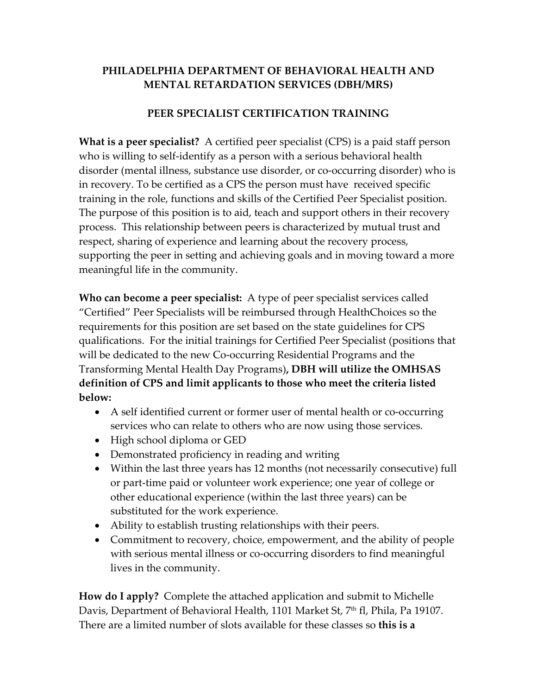#### **PHILADELPHIA DEPARTMENT OF BEHAVIORAL HEALTH AND MENTAL RETARDATION SERVICES (DBH/MRS)**

#### **PEER SPECIALIST CERTIFICATION TRAINING**

**What is a peer specialist?** A certified peer specialist (CPS) is a paid staff person who is willing to self-identify as a person with a serious behavioral health disorder (mental illness, substance use disorder, or co‐occurring disorder) who is in recovery. To be certified as a CPS the person must have received specific training in the role, functions and skills of the Certified Peer Specialist position. The purpose of this position is to aid, teach and support others in their recovery process. This relationship between peers is characterized by mutual trust and respect, sharing of experience and learning about the recovery process, supporting the peer in setting and achieving goals and in moving toward a more meaningful life in the community.

**Who can become a peer specialist:** A type of peer specialist services called "Certified" Peer Specialists will be reimbursed through HealthChoices so the requirements for this position are set based on the state guidelines for CPS qualifications. For the initial trainings for Certified Peer Specialist (positions that will be dedicated to the new Co-occurring Residential Programs and the Transforming Mental Health Day Programs)**, DBH will utilize the OMHSAS definition of CPS and limit applicants to those who meet the criteria listed below:**

- A self identified current or former user of mental health or co-occurring services who can relate to others who are now using those services.
- High school diploma or GED
- Demonstrated proficiency in reading and writing
- Within the last three years has 12 months (not necessarily consecutive) full or part‐time paid or volunteer work experience; one year of college or other educational experience (within the last three years) can be substituted for the work experience.
- Ability to establish trusting relationships with their peers.
- Commitment to recovery, choice, empowerment, and the ability of people with serious mental illness or co-occurring disorders to find meaningful lives in the community.

**How do I apply?** Complete the attached application and submit to Michelle Davis, Department of Behavioral Health, 1101 Market St, 7<sup>th</sup> fl, Phila, Pa 19107. There are a limited number of slots available for these classes so **this is a**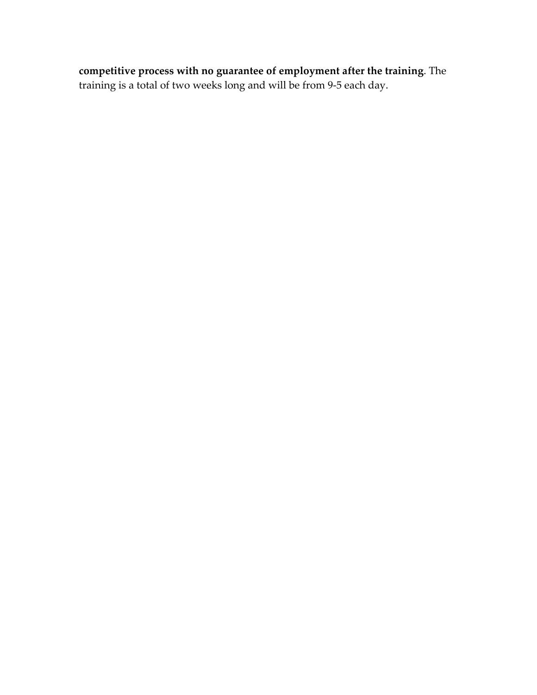**competitive process with no guarantee of employment after the training**. The training is a total of two weeks long and will be from 9‐5 each day.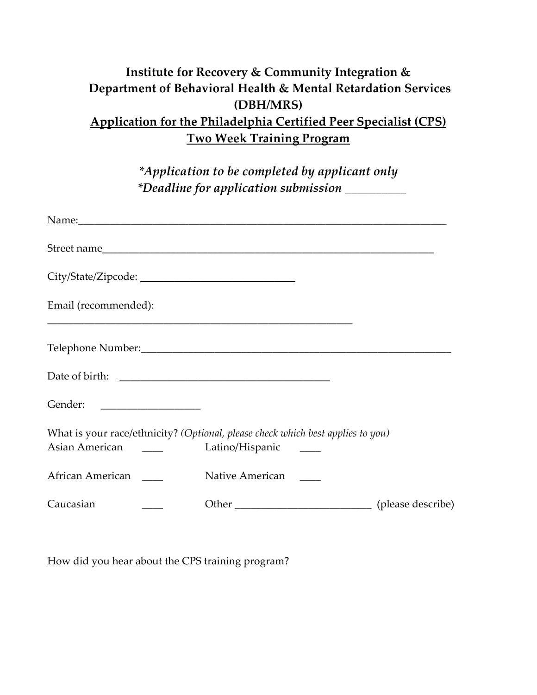# **Institute for Recovery & Community Integration & Department of Behavioral Health & Mental Retardation Services (DBH/MRS) Application for the Philadelphia Certified Peer Specialist (CPS) Two Week Training Program**

*\*Application to be completed by applicant only \*Deadline for application submission \_\_\_\_\_\_\_\_\_\_*

| Email (recommended):                                                                                                                                                                                                                                   |                                                                                 |  |
|--------------------------------------------------------------------------------------------------------------------------------------------------------------------------------------------------------------------------------------------------------|---------------------------------------------------------------------------------|--|
|                                                                                                                                                                                                                                                        |                                                                                 |  |
|                                                                                                                                                                                                                                                        |                                                                                 |  |
|                                                                                                                                                                                                                                                        |                                                                                 |  |
| Asian American<br><u>and the community of the community of the community of the community of the community of the community of the community of the community of the community of the community of the community of the community of the community</u> | What is your race/ethnicity? (Optional, please check which best applies to you) |  |
| African American                                                                                                                                                                                                                                       | Native American                                                                 |  |
| Caucasian                                                                                                                                                                                                                                              |                                                                                 |  |

How did you hear about the CPS training program?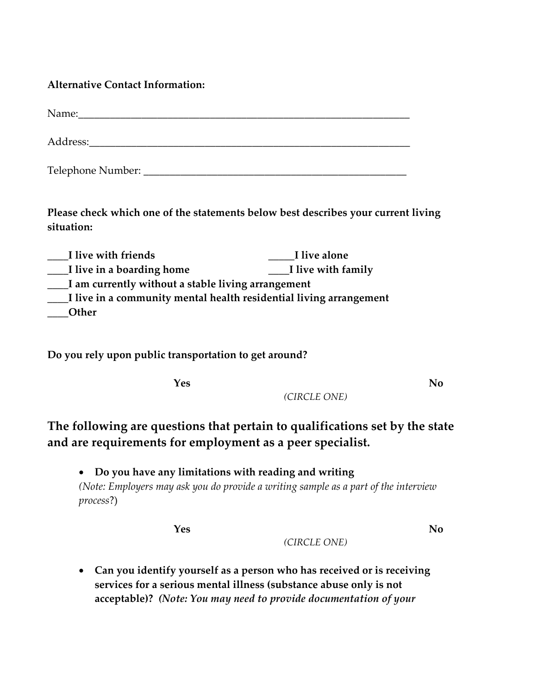#### **Alternative Contact Information:**

| Name:             |  |  |
|-------------------|--|--|
| Address:          |  |  |
| Telephone Number: |  |  |

**Please check which one of the statements below best describes your current living situation:**

**\_\_\_\_I live with friends \_\_\_\_\_I live alone \_\_\_\_I live in a boarding home \_\_\_\_I live with family \_\_\_\_I am currently without a stable living arrangement \_\_\_\_I live in a community mental health residential living arrangement \_\_\_\_Other**

**Do you rely upon public transportation to get around?**

**Yes No** 

*(CIRCLE ONE)*

**The following are questions that pertain to qualifications set by the state and are requirements for employment as a peer specialist.** 

• **Do you have any limitations with reading and writing**  *(Note: Employers may ask you do provide a writing sample as a part of the interview process*?)

**Yes No** 

*(CIRCLE ONE)*

• **Can you identify yourself as a person who has received or is receiving services for a serious mental illness (substance abuse only is not acceptable)?** *(Note: You may need to provide documentation of your*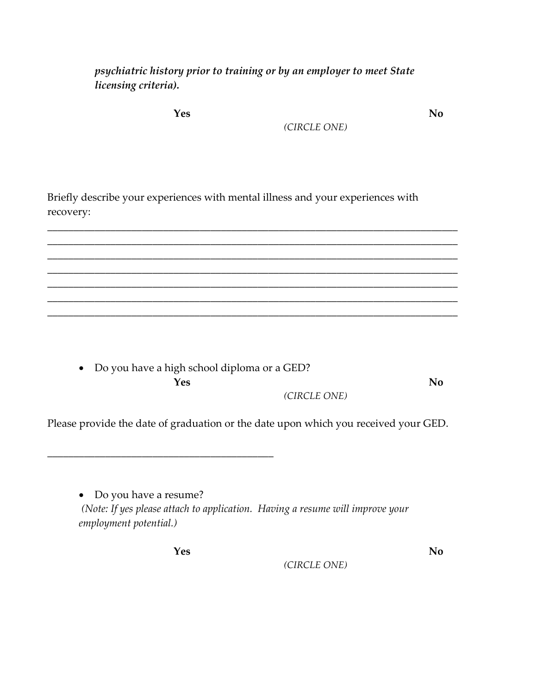*psychiatric history prior to training or by an employer to meet State licensing criteria).*

**Yes No** 

*(CIRCLE ONE)*

Briefly describe your experiences with mental illness and your experiences with recovery:

\_\_\_\_\_\_\_\_\_\_\_\_\_\_\_\_\_\_\_\_\_\_\_\_\_\_\_\_\_\_\_\_\_\_\_\_\_\_\_\_\_\_\_\_\_\_\_\_\_\_\_\_\_\_\_\_\_\_\_\_\_\_\_\_\_\_\_\_\_\_\_\_\_\_\_\_\_\_ \_\_\_\_\_\_\_\_\_\_\_\_\_\_\_\_\_\_\_\_\_\_\_\_\_\_\_\_\_\_\_\_\_\_\_\_\_\_\_\_\_\_\_\_\_\_\_\_\_\_\_\_\_\_\_\_\_\_\_\_\_\_\_\_\_\_\_\_\_\_\_\_\_\_\_\_\_\_ \_\_\_\_\_\_\_\_\_\_\_\_\_\_\_\_\_\_\_\_\_\_\_\_\_\_\_\_\_\_\_\_\_\_\_\_\_\_\_\_\_\_\_\_\_\_\_\_\_\_\_\_\_\_\_\_\_\_\_\_\_\_\_\_\_\_\_\_\_\_\_\_\_\_\_\_\_\_ \_\_\_\_\_\_\_\_\_\_\_\_\_\_\_\_\_\_\_\_\_\_\_\_\_\_\_\_\_\_\_\_\_\_\_\_\_\_\_\_\_\_\_\_\_\_\_\_\_\_\_\_\_\_\_\_\_\_\_\_\_\_\_\_\_\_\_\_\_\_\_\_\_\_\_\_\_\_ \_\_\_\_\_\_\_\_\_\_\_\_\_\_\_\_\_\_\_\_\_\_\_\_\_\_\_\_\_\_\_\_\_\_\_\_\_\_\_\_\_\_\_\_\_\_\_\_\_\_\_\_\_\_\_\_\_\_\_\_\_\_\_\_\_\_\_\_\_\_\_\_\_\_\_\_\_\_ \_\_\_\_\_\_\_\_\_\_\_\_\_\_\_\_\_\_\_\_\_\_\_\_\_\_\_\_\_\_\_\_\_\_\_\_\_\_\_\_\_\_\_\_\_\_\_\_\_\_\_\_\_\_\_\_\_\_\_\_\_\_\_\_\_\_\_\_\_\_\_\_\_\_\_\_\_\_ \_\_\_\_\_\_\_\_\_\_\_\_\_\_\_\_\_\_\_\_\_\_\_\_\_\_\_\_\_\_\_\_\_\_\_\_\_\_\_\_\_\_\_\_\_\_\_\_\_\_\_\_\_\_\_\_\_\_\_\_\_\_\_\_\_\_\_\_\_\_\_\_\_\_\_\_\_\_

• Do you have a high school diploma or a GED? **Yes No**  *(CIRCLE ONE)*

Please provide the date of graduation or the date upon which you received your GED.

• Do you have a resume? *(Note: If yes please attach to application. Having a resume will improve your employment potential.)*

**Yes No** 

\_\_\_\_\_\_\_\_\_\_\_\_\_\_\_\_\_\_\_\_\_\_\_\_\_\_\_\_\_\_\_\_\_\_\_\_\_\_\_\_\_\_\_

*(CIRCLE ONE)*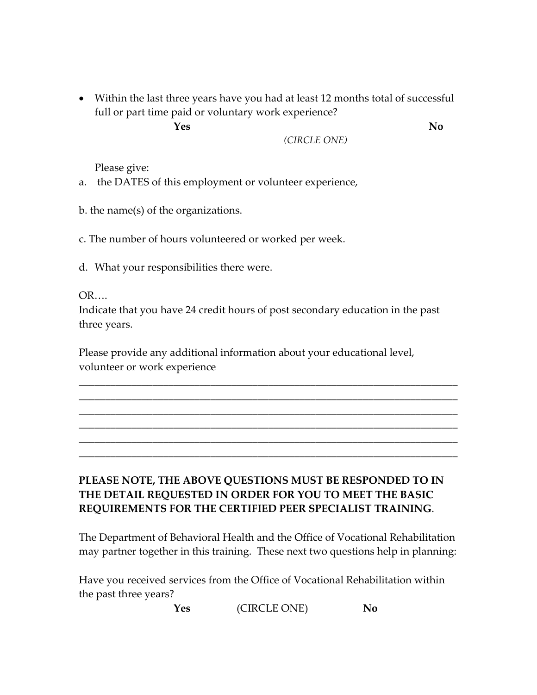• Within the last three years have you had at least 12 months total of successful full or part time paid or voluntary work experience?

**Yes No** 

*(CIRCLE ONE)*

Please give:

a. the DATES of this employment or volunteer experience,

b. the name(s) of the organizations.

c. The number of hours volunteered or worked per week.

d. What your responsibilities there were.

OR….

Indicate that you have 24 credit hours of post secondary education in the past three years.

\_\_\_\_\_\_\_\_\_\_\_\_\_\_\_\_\_\_\_\_\_\_\_\_\_\_\_\_\_\_\_\_\_\_\_\_\_\_\_\_\_\_\_\_\_\_\_\_\_\_\_\_\_\_\_\_\_\_\_\_\_\_\_\_\_\_\_\_\_\_\_\_ \_\_\_\_\_\_\_\_\_\_\_\_\_\_\_\_\_\_\_\_\_\_\_\_\_\_\_\_\_\_\_\_\_\_\_\_\_\_\_\_\_\_\_\_\_\_\_\_\_\_\_\_\_\_\_\_\_\_\_\_\_\_\_\_\_\_\_\_\_\_\_\_ \_\_\_\_\_\_\_\_\_\_\_\_\_\_\_\_\_\_\_\_\_\_\_\_\_\_\_\_\_\_\_\_\_\_\_\_\_\_\_\_\_\_\_\_\_\_\_\_\_\_\_\_\_\_\_\_\_\_\_\_\_\_\_\_\_\_\_\_\_\_\_\_ \_\_\_\_\_\_\_\_\_\_\_\_\_\_\_\_\_\_\_\_\_\_\_\_\_\_\_\_\_\_\_\_\_\_\_\_\_\_\_\_\_\_\_\_\_\_\_\_\_\_\_\_\_\_\_\_\_\_\_\_\_\_\_\_\_\_\_\_\_\_\_\_ \_\_\_\_\_\_\_\_\_\_\_\_\_\_\_\_\_\_\_\_\_\_\_\_\_\_\_\_\_\_\_\_\_\_\_\_\_\_\_\_\_\_\_\_\_\_\_\_\_\_\_\_\_\_\_\_\_\_\_\_\_\_\_\_\_\_\_\_\_\_\_\_ \_\_\_\_\_\_\_\_\_\_\_\_\_\_\_\_\_\_\_\_\_\_\_\_\_\_\_\_\_\_\_\_\_\_\_\_\_\_\_\_\_\_\_\_\_\_\_\_\_\_\_\_\_\_\_\_\_\_\_\_\_\_\_\_\_\_\_\_\_\_\_\_

Please provide any additional information about your educational level, volunteer or work experience

### **PLEASE NOTE, THE ABOVE QUESTIONS MUST BE RESPONDED TO IN THE DETAIL REQUESTED IN ORDER FOR YOU TO MEET THE BASIC REQUIREMENTS FOR THE CERTIFIED PEER SPECIALIST TRAINING**.

The Department of Behavioral Health and the Office of Vocational Rehabilitation may partner together in this training. These next two questions help in planning:

Have you received services from the Office of Vocational Rehabilitation within the past three years?

**Yes**  (CIRCLE ONE) **No**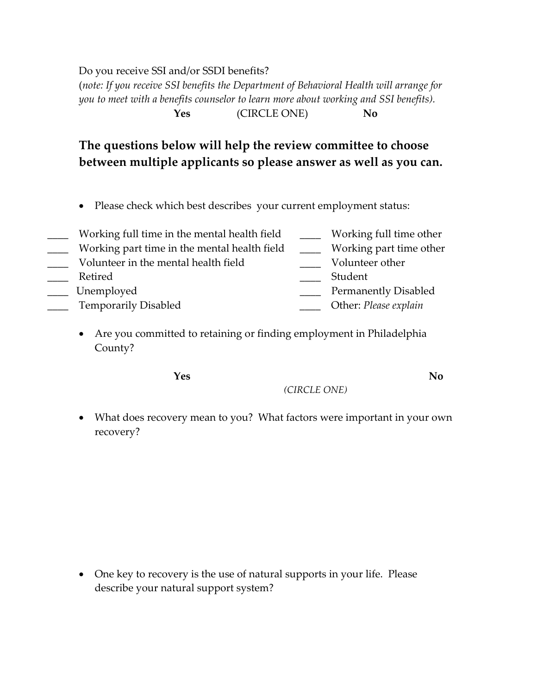Do you receive SSI and/or SSDI benefits?

(*note: If you receive SSI benefits the Department of Behavioral Health will arrange for you to meet with a benefits counselor to learn more about working and SSI benefits).*  **Yes**  (CIRCLE ONE) **No**

## **The questions below will help the review committee to choose between multiple applicants so please answer as well as you can.**

• Please check which best describes your current employment status:

| Working full time in the mental health field | Working full time other     |
|----------------------------------------------|-----------------------------|
| Working part time in the mental health field | Working part time other     |
| Volunteer in the mental health field         | Volunteer other             |
| Retired                                      | Student                     |
| Unemployed                                   | <b>Permanently Disabled</b> |
| <b>Temporarily Disabled</b>                  | Other: Please explain       |

• Are you committed to retaining or finding employment in Philadelphia County?

**Yes No** 

*(CIRCLE ONE)*

• What does recovery mean to you? What factors were important in your own recovery?

• One key to recovery is the use of natural supports in your life. Please describe your natural support system?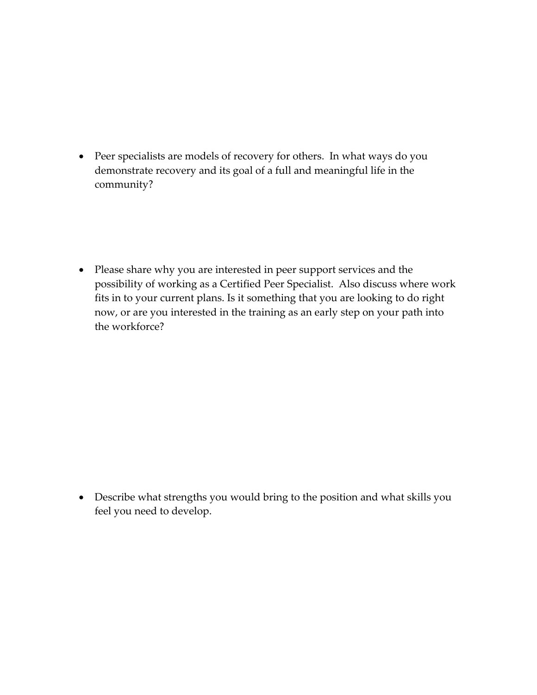• Peer specialists are models of recovery for others. In what ways do you demonstrate recovery and its goal of a full and meaningful life in the community?

• Please share why you are interested in peer support services and the possibility of working as a Certified Peer Specialist. Also discuss where work fits in to your current plans. Is it something that you are looking to do right now, or are you interested in the training as an early step on your path into the workforce?

• Describe what strengths you would bring to the position and what skills you feel you need to develop.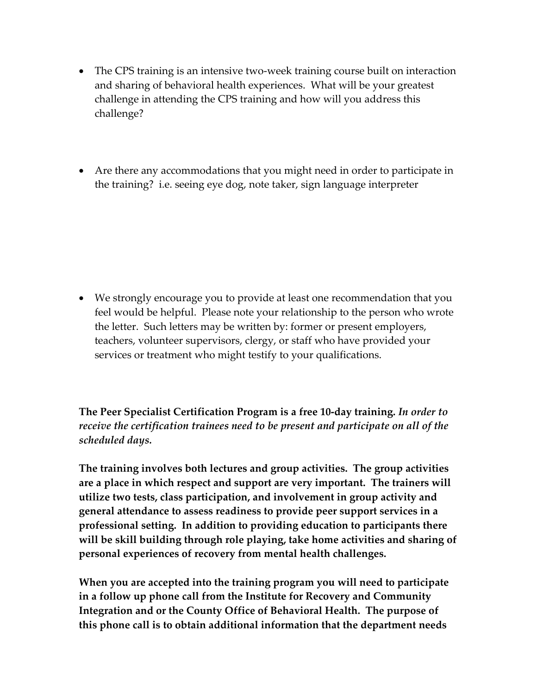- The CPS training is an intensive two-week training course built on interaction and sharing of behavioral health experiences.What will be your greatest challenge in attending the CPS training and how will you address this challenge?
- Are there any accommodations that you might need in order to participate in the training? i.e. seeing eye dog, note taker, sign language interpreter

• We strongly encourage you to provide at least one recommendation that you feel would be helpful. Please note your relationship to the person who wrote the letter. Such letters may be written by: former or present employers, teachers, volunteer supervisors, clergy, or staff who have provided your services or treatment who might testify to your qualifications.

**The Peer Specialist Certification Program is a free 10‐day training.** *In order to receive the certification trainees need to be present and participate on all of the scheduled days.*

**The training involves both lectures and group activities. The group activities are a place in which respect and support are very important. The trainers will utilize two tests, class participation, and involvement in group activity and general attendance to assess readiness to provide peer support services in a professional setting. In addition to providing education to participants there will be skill building through role playing, take home activities and sharing of personal experiences of recovery from mental health challenges.** 

**When you are accepted into the training program you will need to participate in a follow up phone call from the Institute for Recovery and Community Integration and or the County Office of Behavioral Health. The purpose of this phone call is to obtain additional information that the department needs**